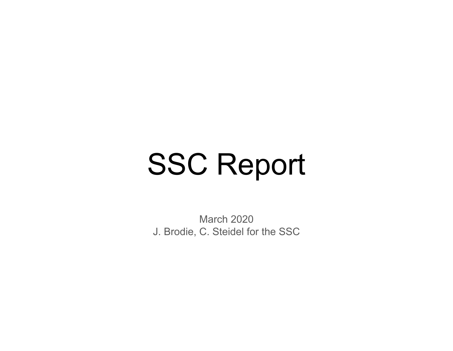# SSC Report

March 2020 J. Brodie, C. Steidel for the SSC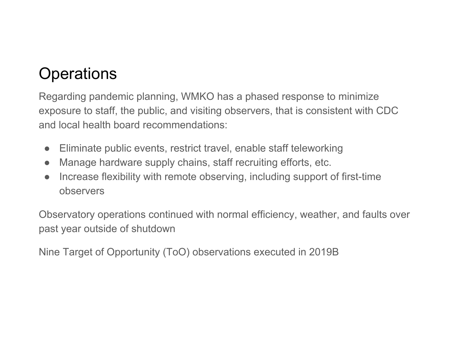## **Operations**

Regarding pandemic planning, WMKO has a phased response to minimize exposure to staff, the public, and visiting observers, that is consistent with CDC and local health board recommendations:

- $\bullet$ Eliminate public events, restrict travel, enable staff teleworking
- $\bullet$ Manage hardware supply chains, staff recruiting efforts, etc.
- $\bullet$  Increase flexibility with remote observing, including support of first-time observers

Observatory operations continued with normal efficiency, weather, and faults over past year outside of shutdown

Nine Target of Opportunity (ToO) observations executed in 2019B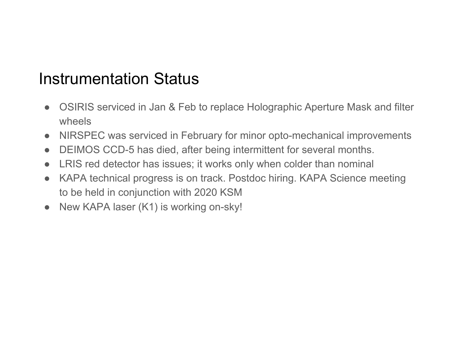## Instrumentation Status

- OSIRIS serviced in Jan & Feb to replace Holographic Aperture Mask and filter wheels
- NIRSPEC was serviced in February for minor opto-mechanical improvements
- DEIMOS CCD-5 has died, after being intermittent for several months.
- LRIS red detector has issues; it works only when colder than nominal
- KAPA technical progress is on track. Postdoc hiring. KAPA Science meeting to be held in conjunction with 2020 KSM
- $\bullet$ New KAPA laser (K1) is working on-sky!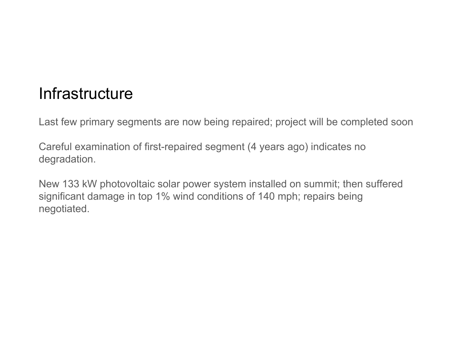### **Infrastructure**

Last few primary segments are now being repaired; project will be completed soon

Careful examination of first-repaired segment (4 years ago) indicates no degradation.

New 133 kW photovoltaic solar power system installed on summit; then suffered significant damage in top 1% wind conditions of 140 mph; repairs being negotiated.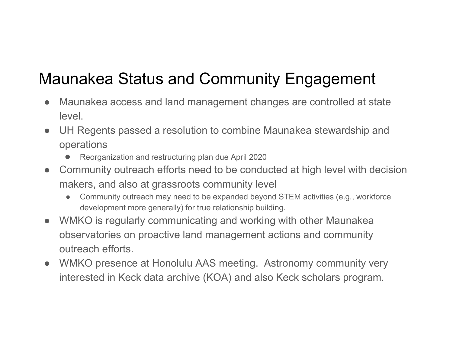## Maunakea Status and Community Engagement

- Maunakea access and land management changes are controlled at state level.
- UH Regents passed a resolution to combine Maunakea stewardship and operations
	- ●Reorganization and restructuring plan due April 2020
- Community outreach efforts need to be conducted at high level with decision makers, and also at grassroots community level
	- Community outreach may need to be expanded beyond STEM activities (e.g., workforce development more generally) for true relationship building.
- WMKO is regularly communicating and working with other Maunakea observatories on proactive land management actions and community outreach efforts.
- WMKO presence at Honolulu AAS meeting. Astronomy community very interested in Keck data archive (KOA) and also Keck scholars program.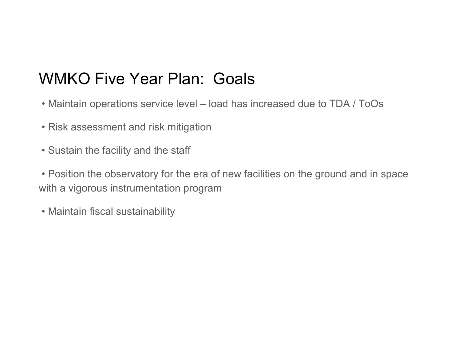## WMKO Five Year Plan: Goals

- Maintain operations service level load has increased due to TDA / ToOs
- Risk assessment and risk mitigation
- Sustain the facility and the staff

• Position the observatory for the era of new facilities on the ground and in space with a vigorous instrumentation program

• Maintain fiscal sustainability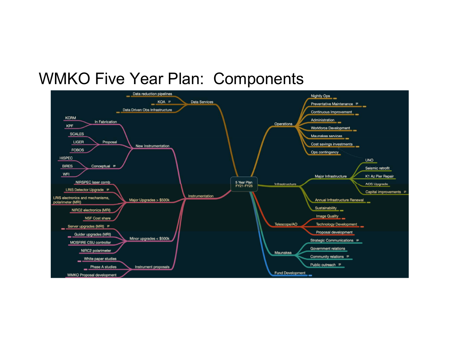#### WMKO Five Year Plan: Components

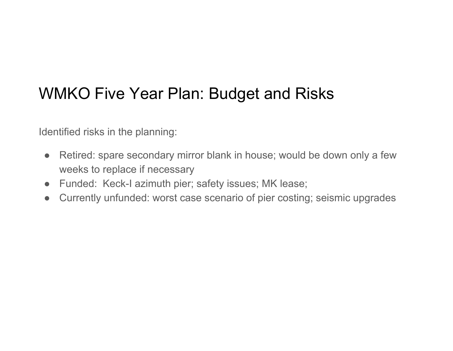## WMKO Five Year Plan: Budget and Risks

Identified risks in the planning:

- ● Retired: spare secondary mirror blank in house; would be down only a few weeks to replace if necessary
- Funded: Keck-I azimuth pier; safety issues; MK lease;
- $\bullet$ Currently unfunded: worst case scenario of pier costing; seismic upgrades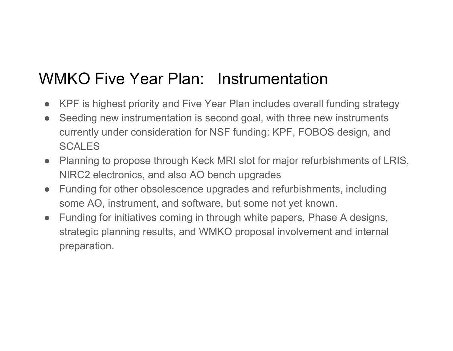## WMKO Five Year Plan: Instrumentation

- KPF is highest priority and Five Year Plan includes overall funding strategy
- Seeding new instrumentation is second goal, with three new instruments currently under consideration for NSF funding: KPF, FOBOS design, and **SCALES**
- Planning to propose through Keck MRI slot for major refurbishments of LRIS, NIRC2 electronics, and also AO bench upgrades
- Funding for other obsolescence upgrades and refurbishments, including some AO, instrument, and software, but some not yet known.
- Funding for initiatives coming in through white papers, Phase A designs, strategic planning results, and WMKO proposal involvement and internal preparation.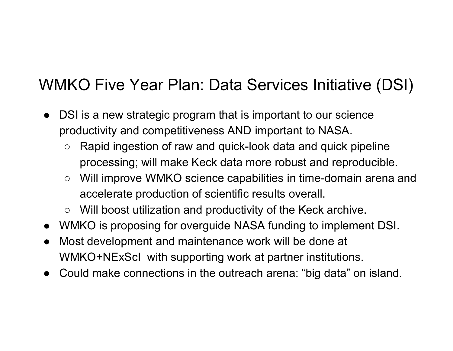## WMKO Five Year Plan: Data Services Initiative (DSI)

- $\bullet$  DSI is a new strategic program that is important to our science productivity and competitiveness AND important to NASA.
	- $\circ$  Rapid ingestion of raw and quick-look data and quick pipeline processing; will make Keck data more robust and reproducible.
	- Will improve WMKO science capabilities in time-domain arena and accelerate production of scientific results overall.
	- Will boost utilization and productivity of the Keck archive.
- WMKO is proposing for overguide NASA funding to implement DSI.
- ● Most development and maintenance work will be done at WMKO+NExScI with supporting work at partner institutions.
- Could make connections in the outreach arena: "big data" on island.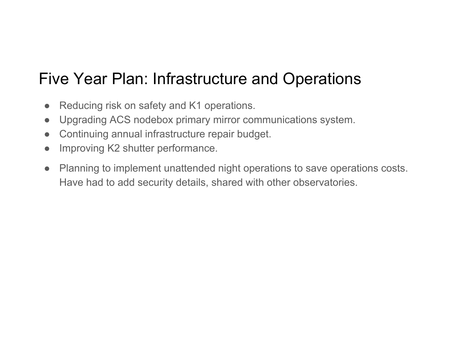## Five Year Plan: Infrastructure and Operations

- $\bullet$ Reducing risk on safety and K1 operations.
- $\bullet$ Upgrading ACS nodebox primary mirror communications system.
- $\bullet$ Continuing annual infrastructure repair budget.
- $\bullet$ Improving K2 shutter performance.
- Planning to implement unattended night operations to save operations costs. Have had to add security details, shared with other observatories.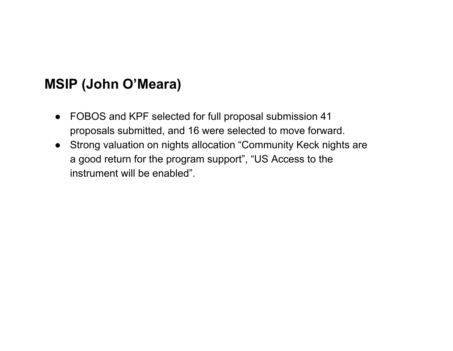#### **MSIP (John O'Meara)**

- FOBOS and KPF selected for full proposal submission 41 proposals submitted, and 16 were selected to move forward.
- Strong valuation on nights allocation "Community Keck nights are a good return for the program support", "US Access to the instrument will be enabled".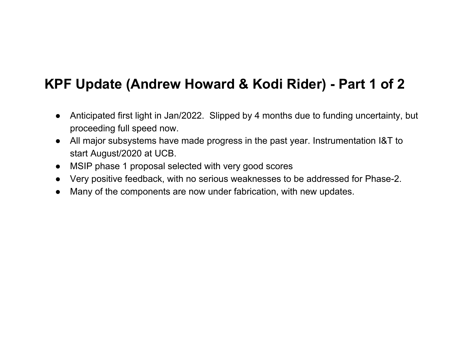#### **KPF Update (Andrew Howard & Kodi Rider) - Part 1 of 2**

- Anticipated first light in Jan/2022. Slipped by 4 months due to funding uncertainty, but proceeding full speed now.
- All major subsystems have made progress in the past year. Instrumentation I&T to start August/2020 at UCB.
- MSIP phase 1 proposal selected with very good scores
- Very positive feedback, with no serious weaknesses to be addressed for Phase-2.
- Many of the components are now under fabrication, with new updates.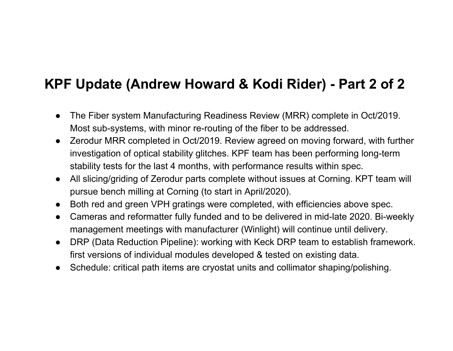#### **KPF Update (Andrew Howard & Kodi Rider) - Part 2 of 2**

- $\bullet$  The Fiber system Manufacturing Readiness Review (MRR) complete in Oct/2019. Most sub-systems, with minor re-routing of the fiber to be addressed.
- Zerodur MRR completed in Oct/2019. Review agreed on moving forward, with further investigation of optical stability glitches. KPF team has been performing long-term stability tests for the last 4 months, with performance results within spec.
- $\bullet$  All slicing/griding of Zerodur parts complete without issues at Corning. KPT team will pursue bench milling at Corning (to start in April/2020).
- $\bullet$ Both red and green VPH gratings were completed, with efficiencies above spec.
- ● Cameras and reformatter fully funded and to be delivered in mid-late 2020. Bi-weekly management meetings with manufacturer (Winlight) will continue until delivery.
- DRP (Data Reduction Pipeline): working with Keck DRP team to establish framework. first versions of individual modules developed & tested on existing data.
- ●Schedule: critical path items are cryostat units and collimator shaping/polishing.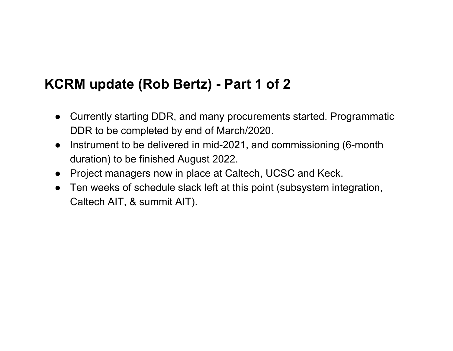#### **KCRM update (Rob Bertz) - Part 1 of 2**

- Currently starting DDR, and many procurements started. Programmatic DDR to be completed by end of March/2020.
- Instrument to be delivered in mid-2021, and commissioning (6-month duration) to be finished August 2022.
- Project managers now in place at Caltech, UCSC and Keck.
- Ten weeks of schedule slack left at this point (subsystem integration, Caltech AIT, & summit AIT).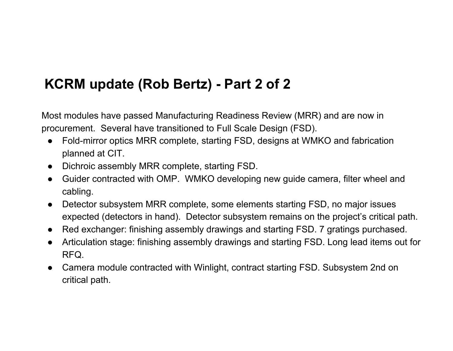#### **KCRM update (Rob Bertz) - Part 2 of 2**

Most modules have passed Manufacturing Readiness Review (MRR) and are now in procurement. Several have transitioned to Full Scale Design (FSD).

- ● Fold-mirror optics MRR complete, starting FSD, designs at WMKO and fabrication planned at CIT.
- Dichroic assembly MRR complete, starting FSD.
- Guider contracted with OMP. WMKO developing new guide camera, filter wheel and cabling.
- $\bullet$  Detector subsystem MRR complete, some elements starting FSD, no major issues expected (detectors in hand). Detector subsystem remains on the project's critical path.
- Red exchanger: finishing assembly drawings and starting FSD. 7 gratings purchased.
- ● Articulation stage: finishing assembly drawings and starting FSD. Long lead items out for RFQ.
- Camera module contracted with Winlight, contract starting FSD. Subsystem 2nd on critical path.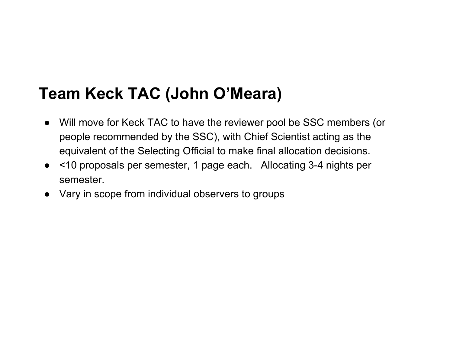## **Team Keck TAC (John O'Meara)**

- Will move for Keck TAC to have the reviewer pool be SSC members (or people recommended by the SSC), with Chief Scientist acting as the equivalent of the Selecting Official to make final allocation decisions.
- <10 proposals per semester, 1 page each. Allocating 3-4 nights per semester.
- Vary in scope from individual observers to groups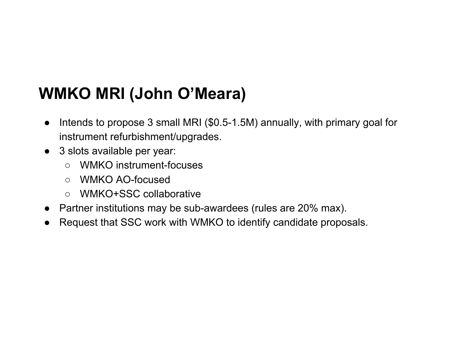## **WMKO MRI (John O'Meara)**

- $\bullet$  Intends to propose 3 small MRI (\$0.5-1.5M) annually, with primary goal for instrument refurbishment/upgrades.
- 3 slots available per year:
	- WMKO instrument-focuses
	- WMKO AO-focused
	- WMKO+SSC collaborative
- Partner institutions may be sub-awardees (rules are 20% max).
- Request that SSC work with WMKO to identify candidate proposals.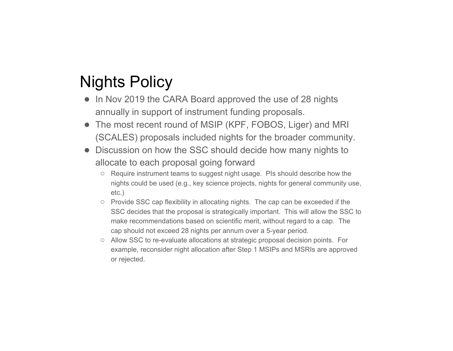## Nights Policy

- In Nov 2019 the CARA Board approved the use of 28 nights annually in support of instrument funding proposals.
- The most recent round of MSIP (KPF, FOBOS, Liger) and MRI (SCALES) proposals included nights for the broader community.
- Discussion on how the SSC should decide how many nights to allocate to each proposal going forward
	- Require instrument teams to suggest night usage. PIs should describe how the nights could be used (e.g., key science projects, nights for general community use, etc.)
	- Provide SSC cap flexibility in allocating nights. The cap can be exceeded if the SSC decides that the proposal is strategically important. This will allow the SSC to make recommendations based on scientific merit, without regard to a cap. The cap should not exceed 28 nights per annum over a 5-year period.
	- Allow SSC to re-evaluate allocations at strategic proposal decision points. For example, reconsider night allocation after Step 1 MSIPs and MSRIs are approved or rejected.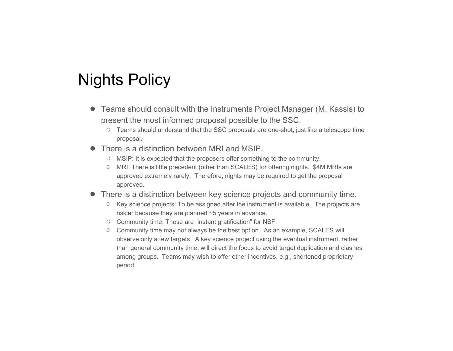### Nights Policy

- Teams should consult with the Instruments Project Manager (M. Kassis) to present the most informed proposal possible to the SSC.
	- $\circ$  Teams should understand that the SSC proposals are one-shot, just like a telescope time proposal.
- There is a distinction between MRI and MSIP.
	- MSIP: It is expected that the proposers offer something to the community.
	- MRI: There is little precedent (other than SCALES) for offering nights. \$4M MRIs are approved extremely rarely. Therefore, nights may be required to get the proposal approved.
- There is a distinction between key science projects and community time.
	- Key science projects: To be assigned after the instrument is available. The projects are riskier because they are planned ~5 years in advance.
	- Community time: These are "instant gratification" for NSF.
	- Community time may not always be the best option. As an example, SCALES will observe only a few targets. A key science project using the eventual instrument, rather than general community time, will direct the focus to avoid target duplication and clashes among groups. Teams may wish to offer other incentives, e.g., shortened proprietary period.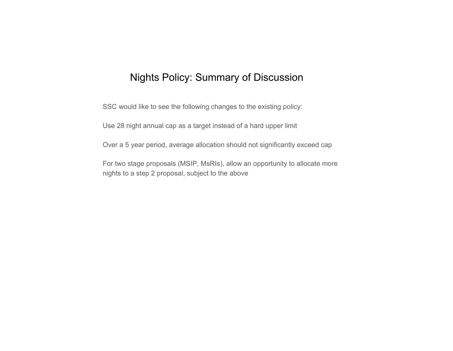#### Nights Policy: Summary of Discussion

SSC would like to see the following changes to the existing policy:

Use 28 night annual cap as a target instead of a hard upper limit

Over a 5 year period, average allocation should not significantly exceed cap

For two stage proposals (MSIP, MsRIs), allow an opportunity to allocate more nights to a step 2 proposal, subject to the above